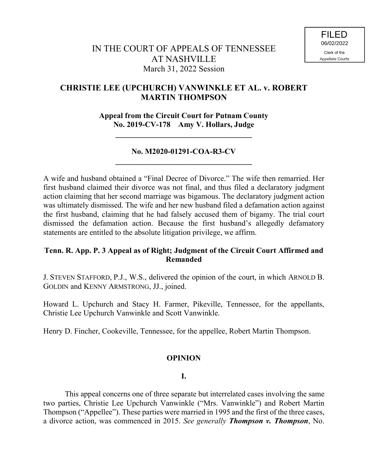# **CHRISTIE LEE (UPCHURCH) VANWINKLE ET AL. v. ROBERT MARTIN THOMPSON**

**Appeal from the Circuit Court for Putnam County No. 2019-CV-178 Amy V. Hollars, Judge**

**\_\_\_\_\_\_\_\_\_\_\_\_\_\_\_\_\_\_\_\_\_\_\_\_\_\_\_\_\_\_\_\_\_\_\_**

## **No. M2020-01291-COA-R3-CV \_\_\_\_\_\_\_\_\_\_\_\_\_\_\_\_\_\_\_\_\_\_\_\_\_\_\_\_\_\_\_\_\_\_\_**

A wife and husband obtained a "Final Decree of Divorce." The wife then remarried. Her first husband claimed their divorce was not final, and thus filed a declaratory judgment action claiming that her second marriage was bigamous. The declaratory judgment action was ultimately dismissed. The wife and her new husband filed a defamation action against the first husband, claiming that he had falsely accused them of bigamy. The trial court dismissed the defamation action. Because the first husband's allegedly defamatory statements are entitled to the absolute litigation privilege, we affirm.

## **Tenn. R. App. P. 3 Appeal as of Right; Judgment of the Circuit Court Affirmed and Remanded**

J. STEVEN STAFFORD, P.J., W.S., delivered the opinion of the court, in which ARNOLD B. GOLDIN and KENNY ARMSTRONG, JJ., joined.

Howard L. Upchurch and Stacy H. Farmer, Pikeville, Tennessee, for the appellants, Christie Lee Upchurch Vanwinkle and Scott Vanwinkle.

Henry D. Fincher, Cookeville, Tennessee, for the appellee, Robert Martin Thompson.

## **OPINION**

## **I.**

This appeal concerns one of three separate but interrelated cases involving the same two parties, Christie Lee Upchurch Vanwinkle ("Mrs. Vanwinkle") and Robert Martin Thompson ("Appellee"). These parties were married in 1995 and the first of the three cases, a divorce action, was commenced in 2015. *See generally Thompson v. Thompson*, No.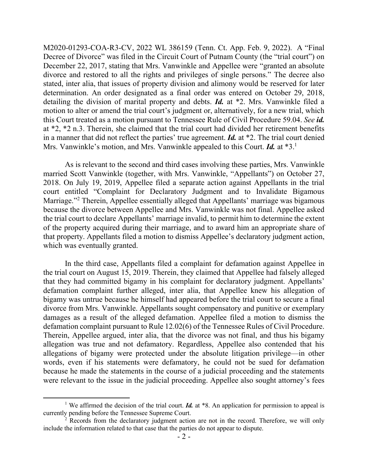M2020-01293-COA-R3-CV, 2022 WL 386159 (Tenn. Ct. App. Feb. 9, 2022). A "Final Decree of Divorce" was filed in the Circuit Court of Putnam County (the "trial court") on December 22, 2017, stating that Mrs. Vanwinkle and Appellee were "granted an absolute divorce and restored to all the rights and privileges of single persons." The decree also stated, inter alia, that issues of property division and alimony would be reserved for later determination. An order designated as a final order was entered on October 29, 2018, detailing the division of marital property and debts. *Id.* at \*2. Mrs. Vanwinkle filed a motion to alter or amend the trial court's judgment or, alternatively, for a new trial, which this Court treated as a motion pursuant to Tennessee Rule of Civil Procedure 59.04. *See id.* at \*2, \*2 n.3. Therein, she claimed that the trial court had divided her retirement benefits in a manner that did not reflect the parties' true agreement. *Id.* at \*2. The trial court denied Mrs. Vanwinkle's motion, and Mrs. Vanwinkle appealed to this Court. *Id.* at \*3.<sup>1</sup>

As is relevant to the second and third cases involving these parties, Mrs. Vanwinkle married Scott Vanwinkle (together, with Mrs. Vanwinkle, "Appellants") on October 27, 2018. On July 19, 2019, Appellee filed a separate action against Appellants in the trial court entitled "Complaint for Declaratory Judgment and to Invalidate Bigamous Marriage."<sup>2</sup> Therein, Appellee essentially alleged that Appellants' marriage was bigamous because the divorce between Appellee and Mrs. Vanwinkle was not final. Appellee asked the trial court to declare Appellants' marriage invalid, to permit him to determine the extent of the property acquired during their marriage, and to award him an appropriate share of that property. Appellants filed a motion to dismiss Appellee's declaratory judgment action, which was eventually granted.

In the third case, Appellants filed a complaint for defamation against Appellee in the trial court on August 15, 2019. Therein, they claimed that Appellee had falsely alleged that they had committed bigamy in his complaint for declaratory judgment. Appellants' defamation complaint further alleged, inter alia, that Appellee knew his allegation of bigamy was untrue because he himself had appeared before the trial court to secure a final divorce from Mrs. Vanwinkle. Appellants sought compensatory and punitive or exemplary damages as a result of the alleged defamation. Appellee filed a motion to dismiss the defamation complaint pursuant to Rule 12.02(6) of the Tennessee Rules of Civil Procedure. Therein, Appellee argued, inter alia, that the divorce was not final, and thus his bigamy allegation was true and not defamatory. Regardless, Appellee also contended that his allegations of bigamy were protected under the absolute litigation privilege—in other words, even if his statements were defamatory, he could not be sued for defamation because he made the statements in the course of a judicial proceeding and the statements were relevant to the issue in the judicial proceeding. Appellee also sought attorney's fees

<sup>&</sup>lt;sup>1</sup> We affirmed the decision of the trial court. *Id.* at  $*8$ . An application for permission to appeal is currently pending before the Tennessee Supreme Court.

 $2^{2}$  Records from the declaratory judgment action are not in the record. Therefore, we will only include the information related to that case that the parties do not appear to dispute.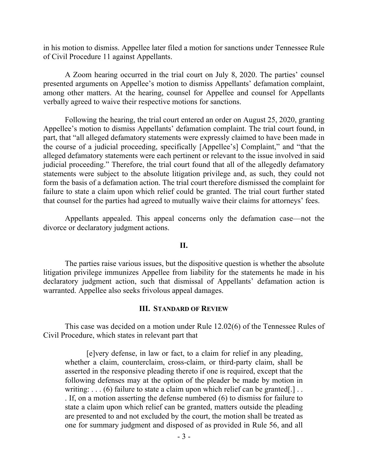in his motion to dismiss. Appellee later filed a motion for sanctions under Tennessee Rule of Civil Procedure 11 against Appellants.

A Zoom hearing occurred in the trial court on July 8, 2020. The parties' counsel presented arguments on Appellee's motion to dismiss Appellants' defamation complaint, among other matters. At the hearing, counsel for Appellee and counsel for Appellants verbally agreed to waive their respective motions for sanctions.

Following the hearing, the trial court entered an order on August 25, 2020, granting Appellee's motion to dismiss Appellants' defamation complaint. The trial court found, in part, that "all alleged defamatory statements were expressly claimed to have been made in the course of a judicial proceeding, specifically [Appellee's] Complaint," and "that the alleged defamatory statements were each pertinent or relevant to the issue involved in said judicial proceeding." Therefore, the trial court found that all of the allegedly defamatory statements were subject to the absolute litigation privilege and, as such, they could not form the basis of a defamation action. The trial court therefore dismissed the complaint for failure to state a claim upon which relief could be granted. The trial court further stated that counsel for the parties had agreed to mutually waive their claims for attorneys' fees.

Appellants appealed. This appeal concerns only the defamation case—not the divorce or declaratory judgment actions.

#### **II.**

The parties raise various issues, but the dispositive question is whether the absolute litigation privilege immunizes Appellee from liability for the statements he made in his declaratory judgment action, such that dismissal of Appellants' defamation action is warranted. Appellee also seeks frivolous appeal damages.

#### **III. STANDARD OF REVIEW**

This case was decided on a motion under Rule 12.02(6) of the Tennessee Rules of Civil Procedure, which states in relevant part that

[e]very defense, in law or fact, to a claim for relief in any pleading, whether a claim, counterclaim, cross-claim, or third-party claim, shall be asserted in the responsive pleading thereto if one is required, except that the following defenses may at the option of the pleader be made by motion in writing:  $\dots$  (6) failure to state a claim upon which relief can be granted[.]  $\dots$ . If, on a motion asserting the defense numbered (6) to dismiss for failure to state a claim upon which relief can be granted, matters outside the pleading are presented to and not excluded by the court, the motion shall be treated as one for summary judgment and disposed of as provided in Rule 56, and all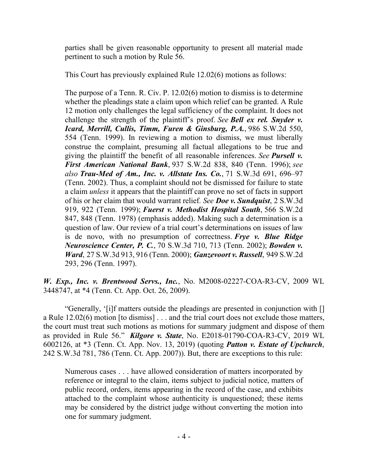parties shall be given reasonable opportunity to present all material made pertinent to such a motion by Rule 56.

This Court has previously explained Rule 12.02(6) motions as follows:

The purpose of a Tenn. R. Civ. P. 12.02(6) motion to dismiss is to determine whether the pleadings state a claim upon which relief can be granted. A Rule 12 motion only challenges the legal sufficiency of the complaint. It does not challenge the strength of the plaintiff's proof. *See Bell ex rel. Snyder v. Icard, Merrill, Cullis, Timm, Furen & Ginsburg, P.A.*, 986 S.W.2d 550, 554 (Tenn. 1999). In reviewing a motion to dismiss, we must liberally construe the complaint, presuming all factual allegations to be true and giving the plaintiff the benefit of all reasonable inferences. *See Pursell v. First American National Bank*, 937 S.W.2d 838, 840 (Tenn. 1996); *see also Trau-Med of Am., Inc. v. Allstate Ins. Co.*, 71 S.W.3d 691, 696–97 (Tenn. 2002). Thus, a complaint should not be dismissed for failure to state a claim *unless* it appears that the plaintiff can prove no set of facts in support of his or her claim that would warrant relief. *See Doe v. Sundquist*, 2 S.W.3d 919, 922 (Tenn. 1999); *Fuerst v. Methodist Hospital South*, 566 S.W.2d 847, 848 (Tenn. 1978) (emphasis added). Making such a determination is a question of law. Our review of a trial court's determinations on issues of law is de novo, with no presumption of correctness. *Frye v. Blue Ridge Neuroscience Center, P. C.*, 70 S.W.3d 710, 713 (Tenn. 2002); *Bowden v. Ward*, 27 S.W.3d 913, 916 (Tenn. 2000); *Ganzevoort v. Russell*, 949 S.W.2d 293, 296 (Tenn. 1997).

*W. Exp., Inc. v. Brentwood Servs., Inc.*, No. M2008-02227-COA-R3-CV, 2009 WL 3448747, at \*4 (Tenn. Ct. App. Oct. 26, 2009).

"Generally, '[i]f matters outside the pleadings are presented in conjunction with [] a Rule 12.02(6) motion [to dismiss] . . . and the trial court does not exclude those matters, the court must treat such motions as motions for summary judgment and dispose of them as provided in Rule 56." *Kilgore v. State*, No. E2018-01790-COA-R3-CV, 2019 WL 6002126, at \*3 (Tenn. Ct. App. Nov. 13, 2019) (quoting *Patton v. Estate of Upchurch*, 242 S.W.3d 781, 786 (Tenn. Ct. App. 2007)). But, there are exceptions to this rule:

Numerous cases . . . have allowed consideration of matters incorporated by reference or integral to the claim, items subject to judicial notice, matters of public record, orders, items appearing in the record of the case, and exhibits attached to the complaint whose authenticity is unquestioned; these items may be considered by the district judge without converting the motion into one for summary judgment.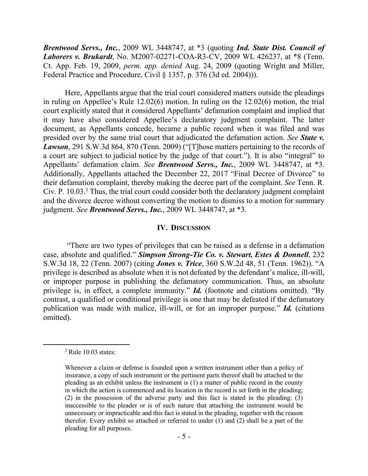*Brentwood Servs., Inc.*, 2009 WL 3448747, at \*3 (quoting *Ind. State Dist. Council of Laborers v. Brukardt*, No. M2007-02271-COA-R3-CV, 2009 WL 426237, at \*8 (Tenn. Ct. App. Feb. 19, 2009, *perm. app. denied* Aug. 24, 2009 (quoting Wright and Miller, Federal Practice and Procedure, Civil § 1357, p. 376 (3d ed. 2004))).

Here, Appellants argue that the trial court considered matters outside the pleadings in ruling on Appellee's Rule 12.02(6) motion. In ruling on the 12.02(6) motion, the trial court explicitly stated that it considered Appellants' defamation complaint and implied that it may have also considered Appellee's declaratory judgment complaint. The latter document, as Appellants concede, became a public record when it was filed and was presided over by the same trial court that adjudicated the defamation action. *See State v. Lawson*, 291 S.W.3d 864, 870 (Tenn. 2009) ("[T]hose matters pertaining to the records of a court are subject to judicial notice by the judge of that court."). It is also "integral" to Appellants' defamation claim. *See Brentwood Servs., Inc.*, 2009 WL 3448747, at \*3. Additionally, Appellants attached the December 22, 2017 "Final Decree of Divorce" to their defamation complaint, thereby making the decree part of the complaint. *See* Tenn. R. Civ. P. 10.03. <sup>3</sup> Thus, the trial court could consider both the declaratory judgment complaint and the divorce decree without converting the motion to dismiss to a motion for summary judgment. *See Brentwood Servs., Inc.*, 2009 WL 3448747, at \*3.

### **IV. DISCUSSION**

"There are two types of privileges that can be raised as a defense in a defamation case, absolute and qualified." *Simpson Strong-Tie Co. v. Stewart, Estes & Donnell*, 232 S.W.3d 18, 22 (Tenn. 2007) (citing *Jones v. Trice*, 360 S.W.2d 48, 51 (Tenn. 1962)). "A privilege is described as absolute when it is not defeated by the defendant's malice, ill-will, or improper purpose in publishing the defamatory communication. Thus, an absolute privilege is, in effect, a complete immunity." *Id.* (footnote and citations omitted). "By contrast, a qualified or conditional privilege is one that may be defeated if the defamatory publication was made with malice, ill-will, or for an improper purpose." *Id.* (citations omitted).

 $3$  Rule 10.03 states:

Whenever a claim or defense is founded upon a written instrument other than a policy of insurance, a copy of such instrument or the pertinent parts thereof shall be attached to the pleading as an exhibit unless the instrument is (1) a matter of public record in the county in which the action is commenced and its location in the record is set forth in the pleading; (2) in the possession of the adverse party and this fact is stated in the pleading; (3) inaccessible to the pleader or is of such nature that attaching the instrument would be unnecessary or impracticable and this fact is stated in the pleading, together with the reason therefor. Every exhibit so attached or referred to under (1) and (2) shall be a part of the pleading for all purposes.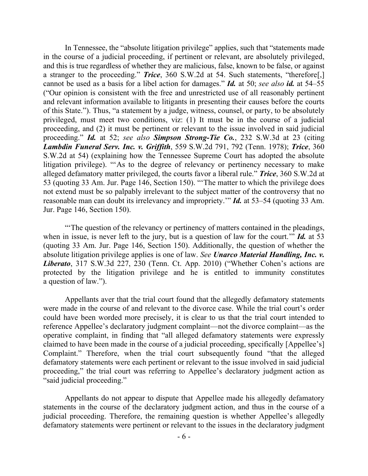In Tennessee, the "absolute litigation privilege" applies, such that "statements made in the course of a judicial proceeding, if pertinent or relevant, are absolutely privileged, and this is true regardless of whether they are malicious, false, known to be false, or against a stranger to the proceeding." *Trice*, 360 S.W.2d at 54. Such statements, "therefore[,] cannot be used as a basis for a libel action for damages." *Id.* at 50; *see also id.* at 54–55 ("Our opinion is consistent with the free and unrestricted use of all reasonably pertinent and relevant information available to litigants in presenting their causes before the courts of this State."). Thus, "a statement by a judge, witness, counsel, or party, to be absolutely privileged, must meet two conditions, viz: (1) It must be in the course of a judicial proceeding, and (2) it must be pertinent or relevant to the issue involved in said judicial proceeding." *Id.* at 52; *see also Simpson Strong-Tie Co.*, 232 S.W.3d at 23 (citing *Lambdin Funeral Serv. Inc. v. Griffith*, 559 S.W.2d 791, 792 (Tenn. 1978); *Trice*, 360 S.W.2d at 54) (explaining how the Tennessee Supreme Court has adopted the absolute litigation privilege). "'As to the degree of relevancy or pertinency necessary to make alleged defamatory matter privileged, the courts favor a liberal rule." *Trice*, 360 S.W.2d at 53 (quoting 33 Am. Jur. Page 146, Section 150). "'The matter to which the privilege does not extend must be so palpably irrelevant to the subject matter of the controversy that no reasonable man can doubt its irrelevancy and impropriety.'" *Id.* at 53–54 (quoting 33 Am. Jur. Page 146, Section 150).

"'The question of the relevancy or pertinency of matters contained in the pleadings, when in issue, is never left to the jury, but is a question of law for the court.'" *Id.* at 53 (quoting 33 Am. Jur. Page 146, Section 150). Additionally, the question of whether the absolute litigation privilege applies is one of law. *See Unarco Material Handling, Inc. v. Liberato*, 317 S.W.3d 227, 230 (Tenn. Ct. App. 2010) ("Whether Cohen's actions are protected by the litigation privilege and he is entitled to immunity constitutes a question of law.").

Appellants aver that the trial court found that the allegedly defamatory statements were made in the course of and relevant to the divorce case. While the trial court's order could have been worded more precisely, it is clear to us that the trial court intended to reference Appellee's declaratory judgment complaint—not the divorce complaint—as the operative complaint, in finding that "all alleged defamatory statements were expressly claimed to have been made in the course of a judicial proceeding, specifically [Appellee's] Complaint." Therefore, when the trial court subsequently found "that the alleged defamatory statements were each pertinent or relevant to the issue involved in said judicial proceeding," the trial court was referring to Appellee's declaratory judgment action as "said judicial proceeding."

Appellants do not appear to dispute that Appellee made his allegedly defamatory statements in the course of the declaratory judgment action, and thus in the course of a judicial proceeding. Therefore, the remaining question is whether Appellee's allegedly defamatory statements were pertinent or relevant to the issues in the declaratory judgment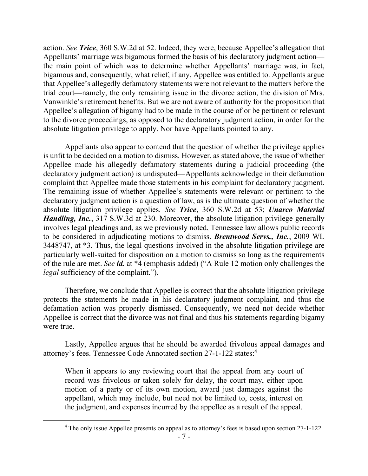action. *See Trice*, 360 S.W.2d at 52. Indeed, they were, because Appellee's allegation that Appellants' marriage was bigamous formed the basis of his declaratory judgment action the main point of which was to determine whether Appellants' marriage was, in fact, bigamous and, consequently, what relief, if any, Appellee was entitled to. Appellants argue that Appellee's allegedly defamatory statements were not relevant to the matters before the trial court—namely, the only remaining issue in the divorce action, the division of Mrs. Vanwinkle's retirement benefits. But we are not aware of authority for the proposition that Appellee's allegation of bigamy had to be made in the course of or be pertinent or relevant to the divorce proceedings, as opposed to the declaratory judgment action, in order for the absolute litigation privilege to apply. Nor have Appellants pointed to any.

Appellants also appear to contend that the question of whether the privilege applies is unfit to be decided on a motion to dismiss. However, as stated above, the issue of whether Appellee made his allegedly defamatory statements during a judicial proceeding (the declaratory judgment action) is undisputed—Appellants acknowledge in their defamation complaint that Appellee made those statements in his complaint for declaratory judgment. The remaining issue of whether Appellee's statements were relevant or pertinent to the declaratory judgment action is a question of law, as is the ultimate question of whether the absolute litigation privilege applies. *See Trice*, 360 S.W.2d at 53; *Unarco Material Handling, Inc.*, 317 S.W.3d at 230. Moreover, the absolute litigation privilege generally involves legal pleadings and, as we previously noted, Tennessee law allows public records to be considered in adjudicating motions to dismiss. *Brentwood Servs., Inc.*, 2009 WL 3448747, at \*3. Thus, the legal questions involved in the absolute litigation privilege are particularly well-suited for disposition on a motion to dismiss so long as the requirements of the rule are met. *See id.* at \*4 (emphasis added) ("A Rule 12 motion only challenges the *legal* sufficiency of the complaint.").

Therefore, we conclude that Appellee is correct that the absolute litigation privilege protects the statements he made in his declaratory judgment complaint, and thus the defamation action was properly dismissed. Consequently, we need not decide whether Appellee is correct that the divorce was not final and thus his statements regarding bigamy were true.

Lastly, Appellee argues that he should be awarded frivolous appeal damages and attorney's fees. Tennessee Code Annotated section 27-1-122 states:<sup>4</sup>

When it appears to any reviewing court that the appeal from any court of record was frivolous or taken solely for delay, the court may, either upon motion of a party or of its own motion, award just damages against the appellant, which may include, but need not be limited to, costs, interest on the judgment, and expenses incurred by the appellee as a result of the appeal.

 $\overline{a}$ 

<sup>&</sup>lt;sup>4</sup> The only issue Appellee presents on appeal as to attorney's fees is based upon section 27-1-122.